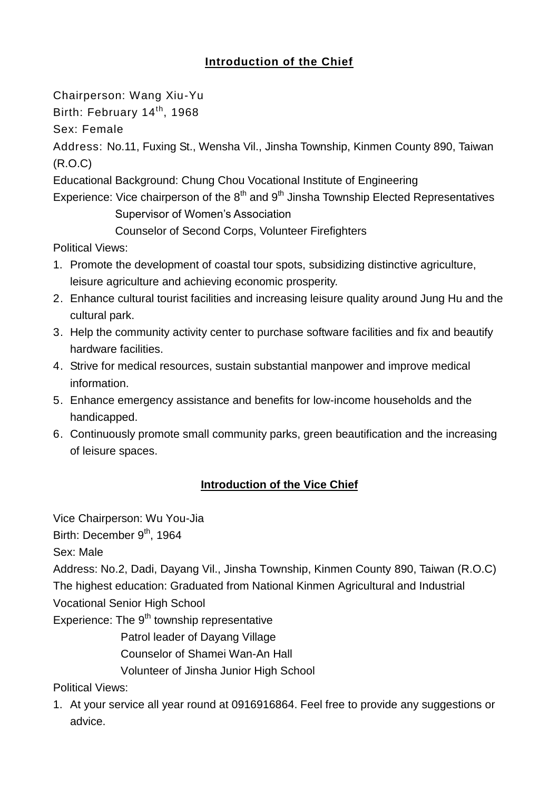## **Introduction of the Chief**

Chairperson: Wang Xiu-Yu

Birth: February 14<sup>th</sup>, 1968

Sex: Female

Address: No.11, Fuxing St., Wensha Vil., Jinsha Township, Kinmen County 890, Taiwan (R.O.C)

Educational Background: Chung Chou Vocational Institute of Engineering

Experience: Vice chairperson of the  $8<sup>th</sup>$  and  $9<sup>th</sup>$  Jinsha Township Elected Representatives Supervisor of Women's Association

Counselor of Second Corps, Volunteer Firefighters

Political Views:

- 1. Promote the development of coastal tour spots, subsidizing distinctive agriculture, leisure agriculture and achieving economic prosperity.
- 2. Enhance cultural tourist facilities and increasing leisure quality around Jung Hu and the cultural park.
- 3. Help the community activity center to purchase software facilities and fix and beautify hardware facilities.
- 4. Strive for medical resources, sustain substantial manpower and improve medical information.
- 5. Enhance emergency assistance and benefits for low-income households and the handicapped.
- 6. Continuously promote small community parks, green beautification and the increasing of leisure spaces.

## **Introduction of the Vice Chief**

Vice Chairperson: Wu You-Jia

Birth: December 9<sup>th</sup>, 1964

Sex: Male

Address: No.2, Dadi, Dayang Vil., Jinsha Township, Kinmen County 890, Taiwan (R.O.C) The highest education: Graduated from National Kinmen Agricultural and Industrial

Vocational Senior High School

Experience: The 9<sup>th</sup> township representative

Patrol leader of Dayang Village

Counselor of Shamei Wan-An Hall

Volunteer of Jinsha Junior High School

Political Views:

1. At your service all year round at 0916916864. Feel free to provide any suggestions or advice.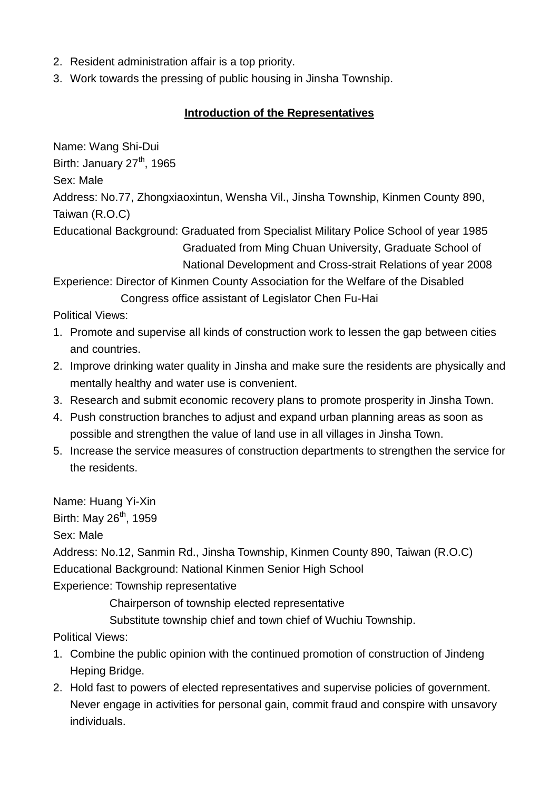- 2. Resident administration affair is a top priority.
- 3. Work towards the pressing of public housing in Jinsha Township.

## **Introduction of the Representatives**

Name: Wang Shi-Dui

Birth: January  $27<sup>th</sup>$ , 1965

Sex: Male

Address: No.77, Zhongxiaoxintun, Wensha Vil., Jinsha Township, Kinmen County 890, Taiwan (R.O.C)

Educational Background: Graduated from Specialist Military Police School of year 1985 Graduated from Ming Chuan University, Graduate School of National Development and Cross-strait Relations of year 2008

Experience: Director of Kinmen County Association for the Welfare of the Disabled Congress office assistant of Legislator Chen Fu-Hai

Political Views:

- 1. Promote and supervise all kinds of construction work to lessen the gap between cities and countries.
- 2. Improve drinking water quality in Jinsha and make sure the residents are physically and mentally healthy and water use is convenient.
- 3. Research and submit economic recovery plans to promote prosperity in Jinsha Town.
- 4. Push construction branches to adjust and expand urban planning areas as soon as possible and strengthen the value of land use in all villages in Jinsha Town.
- 5. Increase the service measures of construction departments to strengthen the service for the residents.

Name: Huang Yi-Xin Birth: May  $26<sup>th</sup>$ , 1959

Sex: Male

Address: No.12, Sanmin Rd., Jinsha Township, Kinmen County 890, Taiwan (R.O.C) Educational Background: National Kinmen Senior High School

Experience: Township representative

Chairperson of township elected representative

Substitute township chief and town chief of Wuchiu Township.

Political Views:

- 1. Combine the public opinion with the continued promotion of construction of Jindeng Heping Bridge.
- 2. Hold fast to powers of elected representatives and supervise policies of government. Never engage in activities for personal gain, commit fraud and conspire with unsavory individuals.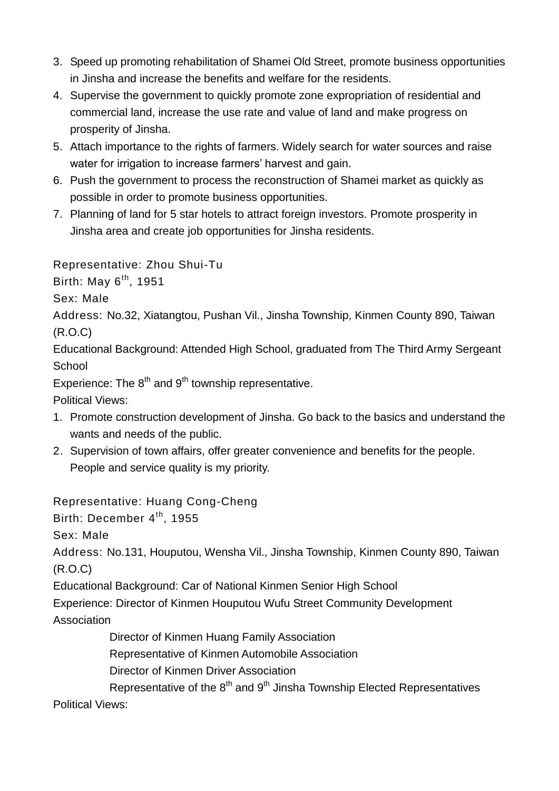- 3. Speed up promoting rehabilitation of Shamei Old Street, promote business opportunities in Jinsha and increase the benefits and welfare for the residents.
- 4. Supervise the government to quickly promote zone expropriation of residential and commercial land, increase the use rate and value of land and make progress on prosperity of Jinsha.
- 5. Attach importance to the rights of farmers. Widely search for water sources and raise water for irrigation to increase farmers' harvest and gain.
- 6. Push the government to process the reconstruction of Shamei market as quickly as possible in order to promote business opportunities.
- 7. Planning of land for 5 star hotels to attract foreign investors. Promote prosperity in Jinsha area and create job opportunities for Jinsha residents.

Representative: Zhou Shui-Tu

Birth: May  $6^{th}$ , 1951

Sex: Male

Address: No.32, Xiatangtou, Pushan Vil., Jinsha Township, Kinmen County 890, Taiwan (R.O.C)

Educational Background: Attended High School, graduated from The Third Army Sergeant **School** 

Experience: The  $8<sup>th</sup>$  and  $9<sup>th</sup>$  township representative.

Political Views:

- 1. Promote construction development of Jinsha. Go back to the basics and understand the wants and needs of the public.
- 2. Supervision of town affairs, offer greater convenience and benefits for the people. People and service quality is my priority.

Representative: Huang Cong-Cheng

Birth: December 4<sup>th</sup>, 1955

Sex: Male

Address: No.131, Houputou, Wensha Vil., Jinsha Township, Kinmen County 890, Taiwan (R.O.C)

Educational Background: Car of National Kinmen Senior High School

Experience: Director of Kinmen Houputou Wufu Street Community Development

Association

Director of Kinmen Huang Family Association

Representative of Kinmen Automobile Association

Director of Kinmen Driver Association

Representative of the  $8<sup>th</sup>$  and  $9<sup>th</sup>$  Jinsha Township Elected Representatives Political Views: